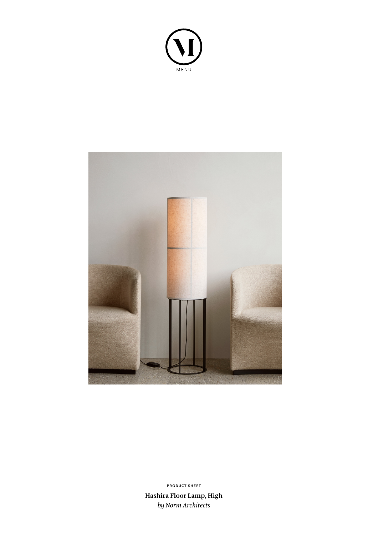



**Hashira Floor Lamp, High** *by Norm Architects* **PRODUCT SHEET**